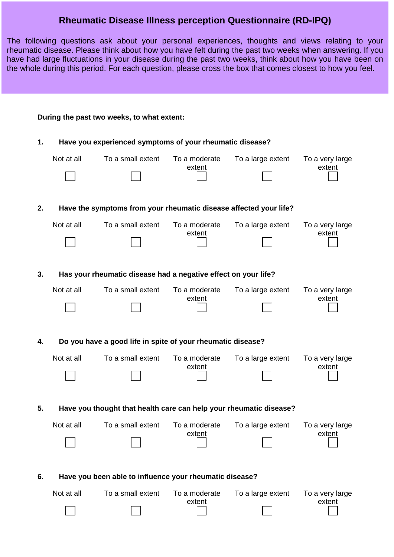## **Rheumatic Disease Illness perception Questionnaire (RD-IPQ)**

The following questions ask about your personal experiences, thoughts and views relating to your rheumatic disease. Please think about how you have felt during the past two weeks when answering. If you have had large fluctuations in your disease during the past two weeks, think about how you have been on the whole during this period. For each question, please cross the box that comes closest to how you feel.

| During the past two weeks, to what extent: |                                                                    |                   |                         |                   |                           |  |  |  |
|--------------------------------------------|--------------------------------------------------------------------|-------------------|-------------------------|-------------------|---------------------------|--|--|--|
| 1.                                         | Have you experienced symptoms of your rheumatic disease?           |                   |                         |                   |                           |  |  |  |
|                                            | Not at all                                                         | To a small extent | To a moderate           | To a large extent | To a very large           |  |  |  |
|                                            |                                                                    |                   | extent                  |                   | extent                    |  |  |  |
| 2.                                         | Have the symptoms from your rheumatic disease affected your life?  |                   |                         |                   |                           |  |  |  |
|                                            | Not at all                                                         | To a small extent | To a moderate           | To a large extent | To a very large           |  |  |  |
|                                            |                                                                    |                   | extent                  |                   | extent                    |  |  |  |
| 3.                                         | Has your rheumatic disease had a negative effect on your life?     |                   |                         |                   |                           |  |  |  |
|                                            | Not at all                                                         | To a small extent | To a moderate           | To a large extent | To a very large<br>extent |  |  |  |
|                                            |                                                                    |                   | extent                  |                   |                           |  |  |  |
| 4.                                         | Do you have a good life in spite of your rheumatic disease?        |                   |                         |                   |                           |  |  |  |
|                                            | Not at all                                                         | To a small extent | To a moderate           | To a large extent | To a very large           |  |  |  |
|                                            |                                                                    |                   | extent                  |                   | extent                    |  |  |  |
| 5.                                         | Have you thought that health care can help your rheumatic disease? |                   |                         |                   |                           |  |  |  |
|                                            | Not at all                                                         | To a small extent | To a moderate<br>extent | To a large extent | To a very large<br>extent |  |  |  |
|                                            |                                                                    |                   |                         |                   |                           |  |  |  |
| 6.                                         | Have you been able to influence your rheumatic disease?            |                   |                         |                   |                           |  |  |  |
|                                            | Not at all                                                         | To a small extent | To a moderate           | To a large extent | To a very large           |  |  |  |
|                                            |                                                                    |                   | extent                  |                   | extent                    |  |  |  |
|                                            |                                                                    |                   |                         |                   |                           |  |  |  |